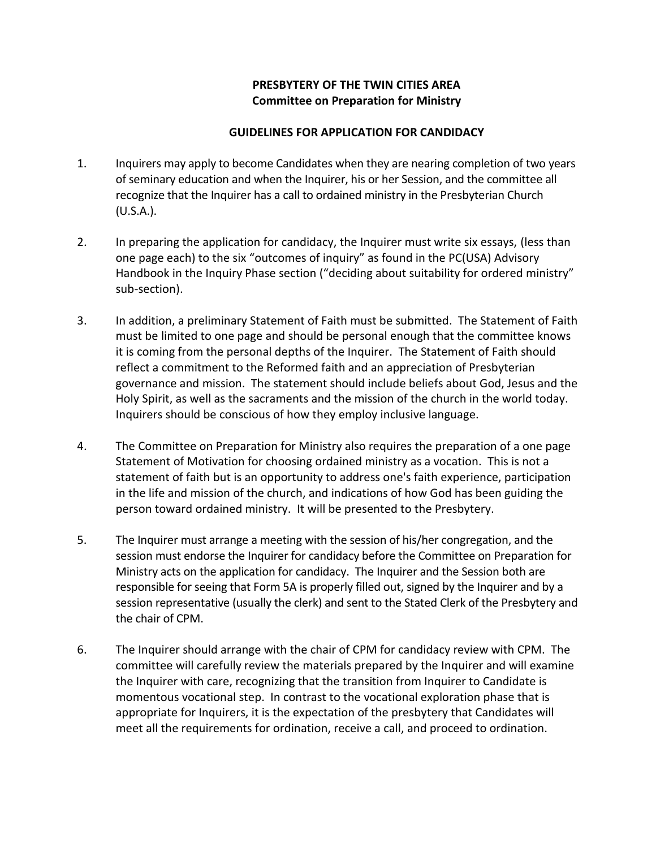## **PRESBYTERY OF THE TWIN CITIES AREA Committee on Preparation for Ministry**

## **GUIDELINES FOR APPLICATION FOR CANDIDACY**

- 1. Inquirers may apply to become Candidates when they are nearing completion of two years of seminary education and when the Inquirer, his or her Session, and the committee all recognize that the Inquirer has a call to ordained ministry in the Presbyterian Church (U.S.A.).
- 2. In preparing the application for candidacy, the Inquirer must write six essays, (less than one page each) to the six "outcomes of inquiry" as found in the PC(USA) Advisory Handbook in the Inquiry Phase section ("deciding about suitability for ordered ministry" sub-section).
- 3. In addition, a preliminary Statement of Faith must be submitted. The Statement of Faith must be limited to one page and should be personal enough that the committee knows it is coming from the personal depths of the Inquirer. The Statement of Faith should reflect a commitment to the Reformed faith and an appreciation of Presbyterian governance and mission. The statement should include beliefs about God, Jesus and the Holy Spirit, as well as the sacraments and the mission of the church in the world today. Inquirers should be conscious of how they employ inclusive language.
- 4. The Committee on Preparation for Ministry also requires the preparation of a one page Statement of Motivation for choosing ordained ministry as a vocation. This is not a statement of faith but is an opportunity to address one's faith experience, participation in the life and mission of the church, and indications of how God has been guiding the person toward ordained ministry. It will be presented to the Presbytery.
- 5. The Inquirer must arrange a meeting with the session of his/her congregation, and the session must endorse the Inquirer for candidacy before the Committee on Preparation for Ministry acts on the application for candidacy. The Inquirer and the Session both are responsible for seeing that Form 5A is properly filled out, signed by the Inquirer and by a session representative (usually the clerk) and sent to the Stated Clerk of the Presbytery and the chair of CPM.
- 6. The Inquirer should arrange with the chair of CPM for candidacy review with CPM. The committee will carefully review the materials prepared by the Inquirer and will examine the Inquirer with care, recognizing that the transition from Inquirer to Candidate is momentous vocational step. In contrast to the vocational exploration phase that is appropriate for Inquirers, it is the expectation of the presbytery that Candidates will meet all the requirements for ordination, receive a call, and proceed to ordination.